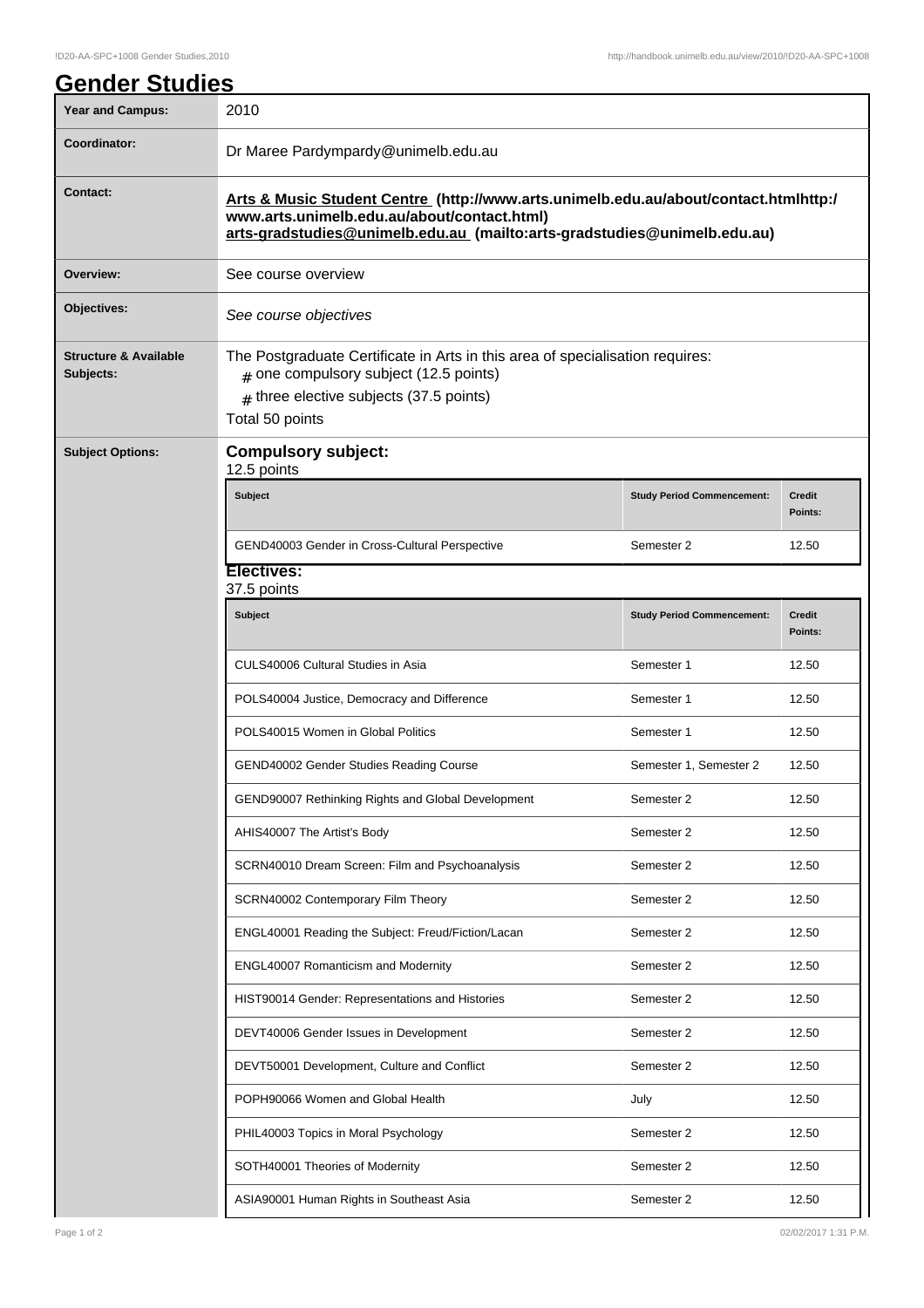| Year and Campus:                              | 2010                                                                                                                                                                                                            |                                   |                          |  |  |
|-----------------------------------------------|-----------------------------------------------------------------------------------------------------------------------------------------------------------------------------------------------------------------|-----------------------------------|--------------------------|--|--|
| Coordinator:                                  | Dr Maree Pardympardy@unimelb.edu.au                                                                                                                                                                             |                                   |                          |  |  |
| <b>Contact:</b>                               | Arts & Music Student Centre (http://www.arts.unimelb.edu.au/about/contact.htmlhttp:/<br>www.arts.unimelb.edu.au/about/contact.html)<br>arts-gradstudies@unimelb.edu.au (mailto:arts-gradstudies@unimelb.edu.au) |                                   |                          |  |  |
| Overview:                                     | See course overview                                                                                                                                                                                             |                                   |                          |  |  |
| Objectives:                                   | See course objectives                                                                                                                                                                                           |                                   |                          |  |  |
| <b>Structure &amp; Available</b><br>Subjects: | The Postgraduate Certificate in Arts in this area of specialisation requires:<br>$#$ one compulsory subject (12.5 points)<br>$#$ three elective subjects (37.5 points)<br>Total 50 points                       |                                   |                          |  |  |
| <b>Subject Options:</b>                       | <b>Compulsory subject:</b><br>12.5 points                                                                                                                                                                       |                                   |                          |  |  |
|                                               | <b>Subject</b>                                                                                                                                                                                                  | <b>Study Period Commencement:</b> | <b>Credit</b><br>Points: |  |  |
|                                               | GEND40003 Gender in Cross-Cultural Perspective                                                                                                                                                                  | Semester 2                        | 12.50                    |  |  |
|                                               | <b>Electives:</b><br>37.5 points                                                                                                                                                                                |                                   |                          |  |  |
|                                               | <b>Subject</b>                                                                                                                                                                                                  | <b>Study Period Commencement:</b> | <b>Credit</b><br>Points: |  |  |
|                                               | CULS40006 Cultural Studies in Asia                                                                                                                                                                              | Semester 1                        | 12.50                    |  |  |
|                                               | POLS40004 Justice, Democracy and Difference                                                                                                                                                                     | Semester 1                        | 12.50                    |  |  |
|                                               | POLS40015 Women in Global Politics                                                                                                                                                                              | Semester 1                        | 12.50                    |  |  |
|                                               | GEND40002 Gender Studies Reading Course                                                                                                                                                                         | Semester 1, Semester 2            | 12.50                    |  |  |
|                                               | GEND90007 Rethinking Rights and Global Development                                                                                                                                                              | Semester 2                        | 12.50                    |  |  |
|                                               | AHIS40007 The Artist's Body                                                                                                                                                                                     | Semester 2                        | 12.50                    |  |  |
|                                               | SCRN40010 Dream Screen: Film and Psychoanalysis                                                                                                                                                                 | Semester 2                        | 12.50                    |  |  |
|                                               | SCRN40002 Contemporary Film Theory                                                                                                                                                                              | Semester 2                        | 12.50                    |  |  |
|                                               | ENGL40001 Reading the Subject: Freud/Fiction/Lacan                                                                                                                                                              | Semester 2                        | 12.50                    |  |  |
|                                               | ENGL40007 Romanticism and Modernity                                                                                                                                                                             | Semester 2                        | 12.50                    |  |  |
|                                               | HIST90014 Gender: Representations and Histories                                                                                                                                                                 | Semester 2                        | 12.50                    |  |  |
|                                               | DEVT40006 Gender Issues in Development                                                                                                                                                                          | Semester 2                        | 12.50                    |  |  |
|                                               | DEVT50001 Development, Culture and Conflict                                                                                                                                                                     | Semester 2                        | 12.50                    |  |  |
|                                               | POPH90066 Women and Global Health                                                                                                                                                                               | July                              | 12.50                    |  |  |
|                                               | PHIL40003 Topics in Moral Psychology                                                                                                                                                                            | Semester 2                        | 12.50                    |  |  |
|                                               | SOTH40001 Theories of Modernity                                                                                                                                                                                 | Semester 2                        | 12.50                    |  |  |
|                                               | ASIA90001 Human Rights in Southeast Asia                                                                                                                                                                        | Semester 2                        | 12.50                    |  |  |